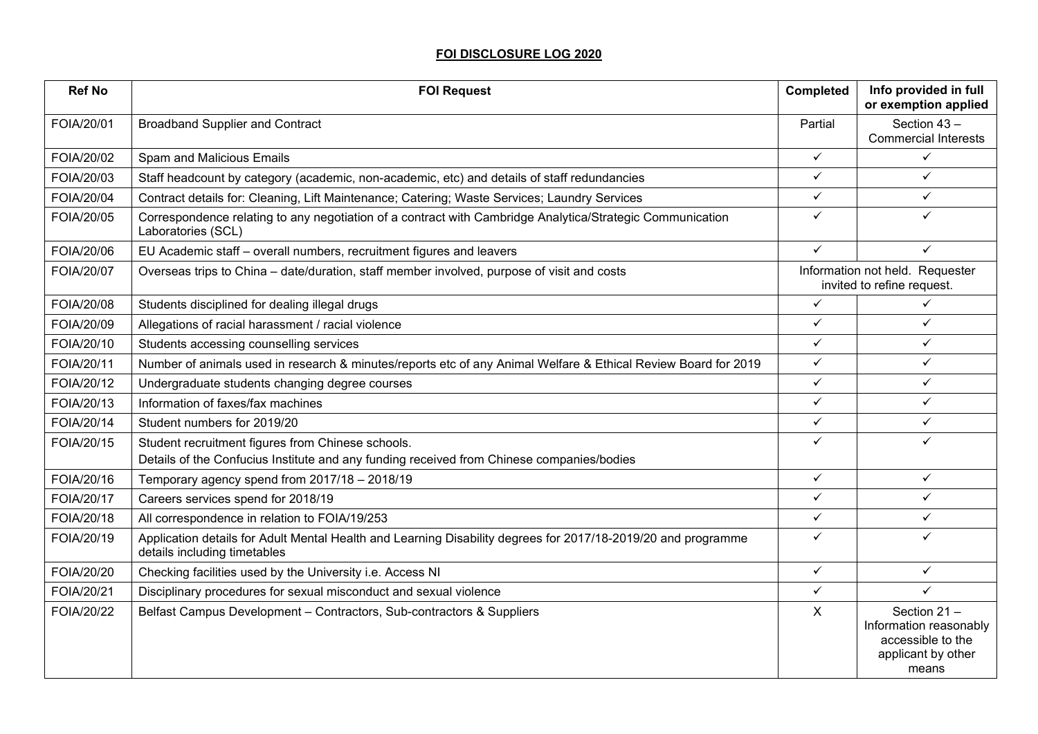## **FOI DISCLOSURE LOG 2020**

| <b>Ref No</b> | <b>FOI Request</b>                                                                                                                             | Completed    | Info provided in full<br>or exemption applied                                             |
|---------------|------------------------------------------------------------------------------------------------------------------------------------------------|--------------|-------------------------------------------------------------------------------------------|
| FOIA/20/01    | <b>Broadband Supplier and Contract</b>                                                                                                         | Partial      | Section 43-<br><b>Commercial Interests</b>                                                |
| FOIA/20/02    | Spam and Malicious Emails                                                                                                                      | $\checkmark$ | ✓                                                                                         |
| FOIA/20/03    | Staff headcount by category (academic, non-academic, etc) and details of staff redundancies                                                    | $\checkmark$ | $\checkmark$                                                                              |
| FOIA/20/04    | Contract details for: Cleaning, Lift Maintenance; Catering; Waste Services; Laundry Services                                                   | $\checkmark$ | $\checkmark$                                                                              |
| FOIA/20/05    | Correspondence relating to any negotiation of a contract with Cambridge Analytica/Strategic Communication<br>Laboratories (SCL)                | $\checkmark$ | ✓                                                                                         |
| FOIA/20/06    | EU Academic staff - overall numbers, recruitment figures and leavers                                                                           | $\checkmark$ | ✓                                                                                         |
| FOIA/20/07    | Overseas trips to China - date/duration, staff member involved, purpose of visit and costs                                                     |              | Information not held. Requester<br>invited to refine request.                             |
| FOIA/20/08    | Students disciplined for dealing illegal drugs                                                                                                 | $\checkmark$ | $\checkmark$                                                                              |
| FOIA/20/09    | Allegations of racial harassment / racial violence                                                                                             | $\checkmark$ | ✓                                                                                         |
| FOIA/20/10    | Students accessing counselling services                                                                                                        | $\checkmark$ | ✓                                                                                         |
| FOIA/20/11    | Number of animals used in research & minutes/reports etc of any Animal Welfare & Ethical Review Board for 2019                                 | $\checkmark$ | ✓                                                                                         |
| FOIA/20/12    | Undergraduate students changing degree courses                                                                                                 | $\checkmark$ | ✓                                                                                         |
| FOIA/20/13    | Information of faxes/fax machines                                                                                                              | $\checkmark$ | ✓                                                                                         |
| FOIA/20/14    | Student numbers for 2019/20                                                                                                                    | $\checkmark$ | $\checkmark$                                                                              |
| FOIA/20/15    | Student recruitment figures from Chinese schools.<br>Details of the Confucius Institute and any funding received from Chinese companies/bodies | ✓            |                                                                                           |
| FOIA/20/16    | Temporary agency spend from 2017/18 - 2018/19                                                                                                  | $\checkmark$ | $\checkmark$                                                                              |
| FOIA/20/17    | Careers services spend for 2018/19                                                                                                             | $\checkmark$ | ✓                                                                                         |
| FOIA/20/18    | All correspondence in relation to FOIA/19/253                                                                                                  | $\checkmark$ | $\checkmark$                                                                              |
| FOIA/20/19    | Application details for Adult Mental Health and Learning Disability degrees for 2017/18-2019/20 and programme<br>details including timetables  | $\checkmark$ | ✓                                                                                         |
| FOIA/20/20    | Checking facilities used by the University i.e. Access NI                                                                                      | $\checkmark$ | $\checkmark$                                                                              |
| FOIA/20/21    | Disciplinary procedures for sexual misconduct and sexual violence                                                                              | $\checkmark$ | ✓                                                                                         |
| FOIA/20/22    | Belfast Campus Development - Contractors, Sub-contractors & Suppliers                                                                          | X            | Section 21-<br>Information reasonably<br>accessible to the<br>applicant by other<br>means |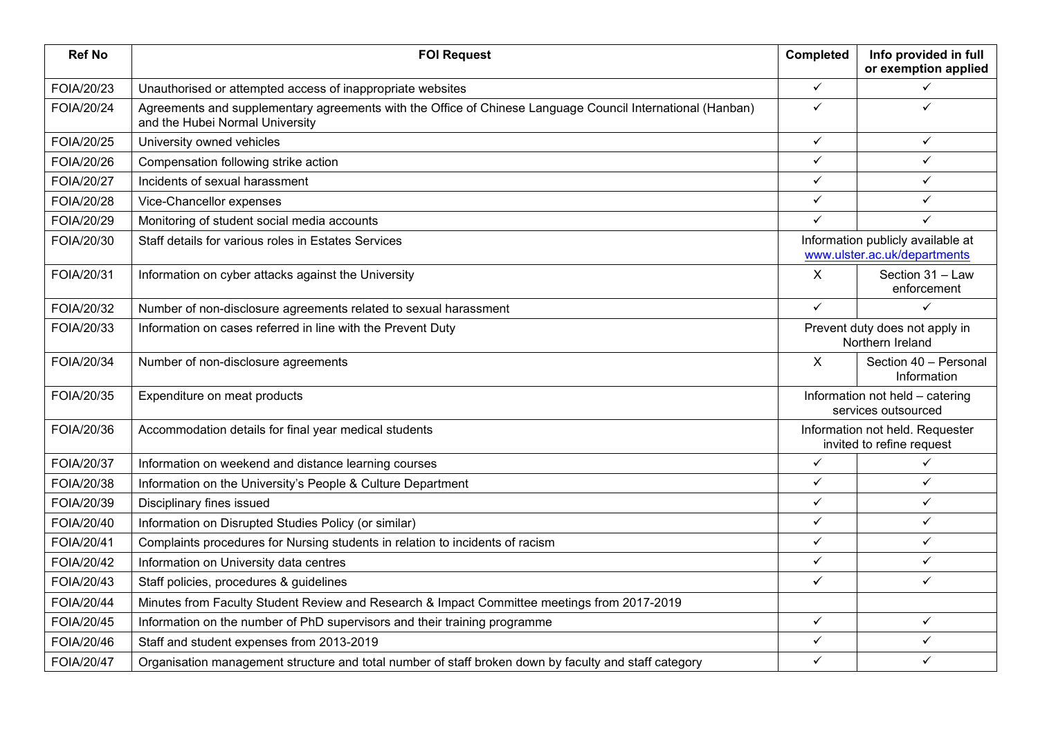| <b>Ref No</b>     | <b>FOI Request</b>                                                                                                                            | <b>Completed</b>                                                  | Info provided in full<br>or exemption applied                |
|-------------------|-----------------------------------------------------------------------------------------------------------------------------------------------|-------------------------------------------------------------------|--------------------------------------------------------------|
| FOIA/20/23        | Unauthorised or attempted access of inappropriate websites                                                                                    | $\checkmark$                                                      | ✓                                                            |
| <b>FOIA/20/24</b> | Agreements and supplementary agreements with the Office of Chinese Language Council International (Hanban)<br>and the Hubei Normal University | $\checkmark$                                                      | ✓                                                            |
| FOIA/20/25        | University owned vehicles                                                                                                                     | $\checkmark$                                                      | ✓                                                            |
| FOIA/20/26        | Compensation following strike action                                                                                                          | $\checkmark$                                                      | ✓                                                            |
| FOIA/20/27        | Incidents of sexual harassment                                                                                                                | $\checkmark$                                                      | $\checkmark$                                                 |
| FOIA/20/28        | Vice-Chancellor expenses                                                                                                                      | $\checkmark$                                                      | $\checkmark$                                                 |
| FOIA/20/29        | Monitoring of student social media accounts                                                                                                   | $\checkmark$                                                      | ✓                                                            |
| FOIA/20/30        | Staff details for various roles in Estates Services                                                                                           | Information publicly available at<br>www.ulster.ac.uk/departments |                                                              |
| FOIA/20/31        | Information on cyber attacks against the University                                                                                           | X                                                                 | Section 31 - Law<br>enforcement                              |
| FOIA/20/32        | Number of non-disclosure agreements related to sexual harassment                                                                              | $\checkmark$                                                      | ✓                                                            |
| FOIA/20/33        | Information on cases referred in line with the Prevent Duty                                                                                   | Prevent duty does not apply in<br>Northern Ireland                |                                                              |
| FOIA/20/34        | Number of non-disclosure agreements                                                                                                           | $\mathsf{X}$<br>Section 40 - Personal<br>Information              |                                                              |
| FOIA/20/35        | Expenditure on meat products                                                                                                                  |                                                                   | Information not held - catering<br>services outsourced       |
| FOIA/20/36        | Accommodation details for final year medical students                                                                                         |                                                                   | Information not held. Requester<br>invited to refine request |
| FOIA/20/37        | Information on weekend and distance learning courses                                                                                          | $\checkmark$                                                      | $\checkmark$                                                 |
| FOIA/20/38        | Information on the University's People & Culture Department                                                                                   | $\checkmark$                                                      | ✓                                                            |
| FOIA/20/39        | Disciplinary fines issued                                                                                                                     | $\checkmark$                                                      | $\checkmark$                                                 |
| FOIA/20/40        | Information on Disrupted Studies Policy (or similar)                                                                                          | $\checkmark$                                                      | $\checkmark$                                                 |
| FOIA/20/41        | Complaints procedures for Nursing students in relation to incidents of racism                                                                 | $\checkmark$                                                      | $\checkmark$                                                 |
| FOIA/20/42        | Information on University data centres                                                                                                        | $\checkmark$                                                      | $\checkmark$                                                 |
| FOIA/20/43        | Staff policies, procedures & guidelines                                                                                                       | $\checkmark$                                                      | ✓                                                            |
| <b>FOIA/20/44</b> | Minutes from Faculty Student Review and Research & Impact Committee meetings from 2017-2019                                                   |                                                                   |                                                              |
| FOIA/20/45        | Information on the number of PhD supervisors and their training programme                                                                     | $\checkmark$                                                      | $\checkmark$                                                 |
| FOIA/20/46        | Staff and student expenses from 2013-2019                                                                                                     | $\checkmark$                                                      | ✓                                                            |
| FOIA/20/47        | Organisation management structure and total number of staff broken down by faculty and staff category                                         | ✓                                                                 | ✓                                                            |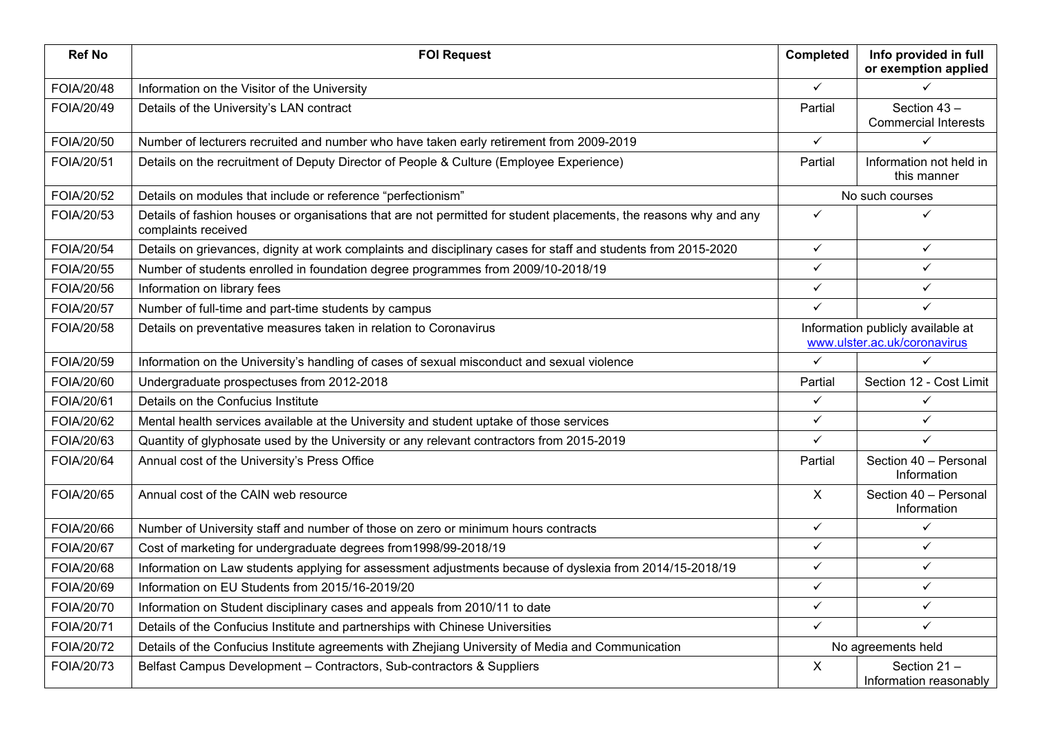| <b>Ref No</b> | <b>FOI Request</b>                                                                                                                       | <b>Completed</b>                                                  | Info provided in full<br>or exemption applied |
|---------------|------------------------------------------------------------------------------------------------------------------------------------------|-------------------------------------------------------------------|-----------------------------------------------|
| FOIA/20/48    | Information on the Visitor of the University                                                                                             | $\checkmark$                                                      | ✓                                             |
| FOIA/20/49    | Details of the University's LAN contract                                                                                                 | Partial                                                           | Section 43-<br><b>Commercial Interests</b>    |
| FOIA/20/50    | Number of lecturers recruited and number who have taken early retirement from 2009-2019                                                  | $\checkmark$                                                      | ✓                                             |
| FOIA/20/51    | Details on the recruitment of Deputy Director of People & Culture (Employee Experience)                                                  | Partial                                                           | Information not held in<br>this manner        |
| FOIA/20/52    | Details on modules that include or reference "perfectionism"                                                                             |                                                                   | No such courses                               |
| FOIA/20/53    | Details of fashion houses or organisations that are not permitted for student placements, the reasons why and any<br>complaints received | $\checkmark$                                                      |                                               |
| FOIA/20/54    | Details on grievances, dignity at work complaints and disciplinary cases for staff and students from 2015-2020                           | $\checkmark$                                                      | ✓                                             |
| FOIA/20/55    | Number of students enrolled in foundation degree programmes from 2009/10-2018/19                                                         | $\checkmark$                                                      | ✓                                             |
| FOIA/20/56    | Information on library fees                                                                                                              | $\checkmark$                                                      | ✓                                             |
| FOIA/20/57    | Number of full-time and part-time students by campus                                                                                     | $\checkmark$                                                      | ✓                                             |
| FOIA/20/58    | Details on preventative measures taken in relation to Coronavirus                                                                        | Information publicly available at<br>www.ulster.ac.uk/coronavirus |                                               |
| FOIA/20/59    | Information on the University's handling of cases of sexual misconduct and sexual violence                                               | $\checkmark$                                                      | ✓                                             |
| FOIA/20/60    | Undergraduate prospectuses from 2012-2018                                                                                                | Partial                                                           | Section 12 - Cost Limit                       |
| FOIA/20/61    | Details on the Confucius Institute                                                                                                       | $\checkmark$                                                      | ✓                                             |
| FOIA/20/62    | Mental health services available at the University and student uptake of those services                                                  | $\checkmark$                                                      | ✓                                             |
| FOIA/20/63    | Quantity of glyphosate used by the University or any relevant contractors from 2015-2019                                                 | $\checkmark$                                                      | ✓                                             |
| FOIA/20/64    | Annual cost of the University's Press Office                                                                                             | Partial                                                           | Section 40 - Personal<br>Information          |
| FOIA/20/65    | Annual cost of the CAIN web resource                                                                                                     | X                                                                 | Section 40 - Personal<br>Information          |
| FOIA/20/66    | Number of University staff and number of those on zero or minimum hours contracts                                                        | $\checkmark$                                                      | ✓                                             |
| FOIA/20/67    | Cost of marketing for undergraduate degrees from 1998/99-2018/19                                                                         | $\checkmark$                                                      | ✓                                             |
| FOIA/20/68    | Information on Law students applying for assessment adjustments because of dyslexia from 2014/15-2018/19                                 | $\checkmark$                                                      | ✓                                             |
| FOIA/20/69    | Information on EU Students from 2015/16-2019/20                                                                                          | $\checkmark$                                                      | ✓                                             |
| FOIA/20/70    | Information on Student disciplinary cases and appeals from 2010/11 to date                                                               | $\checkmark$                                                      | ✓                                             |
| FOIA/20/71    | Details of the Confucius Institute and partnerships with Chinese Universities                                                            | $\checkmark$                                                      | ✓                                             |
| FOIA/20/72    | Details of the Confucius Institute agreements with Zhejiang University of Media and Communication                                        |                                                                   | No agreements held                            |
| FOIA/20/73    | Belfast Campus Development - Contractors, Sub-contractors & Suppliers                                                                    | X                                                                 | Section 21-<br>Information reasonably         |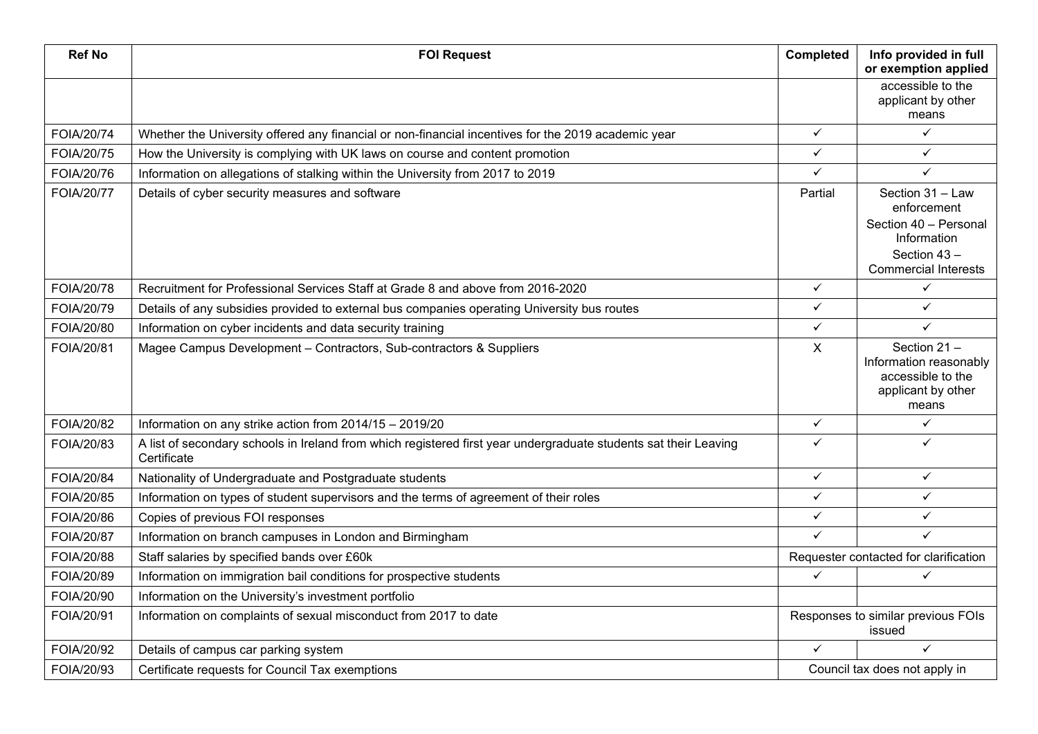| <b>Ref No</b> | <b>FOI Request</b>                                                                                                              | Completed                                    | Info provided in full<br>or exemption applied                                                                         |
|---------------|---------------------------------------------------------------------------------------------------------------------------------|----------------------------------------------|-----------------------------------------------------------------------------------------------------------------------|
|               |                                                                                                                                 |                                              | accessible to the<br>applicant by other<br>means                                                                      |
| FOIA/20/74    | Whether the University offered any financial or non-financial incentives for the 2019 academic year                             | $\checkmark$                                 | $\checkmark$                                                                                                          |
| FOIA/20/75    | How the University is complying with UK laws on course and content promotion                                                    | $\checkmark$                                 | ✓                                                                                                                     |
| FOIA/20/76    | Information on allegations of stalking within the University from 2017 to 2019                                                  | $\checkmark$                                 | ✓                                                                                                                     |
| FOIA/20/77    | Details of cyber security measures and software                                                                                 | Partial                                      | Section 31 - Law<br>enforcement<br>Section 40 - Personal<br>Information<br>Section 43-<br><b>Commercial Interests</b> |
| FOIA/20/78    | Recruitment for Professional Services Staff at Grade 8 and above from 2016-2020                                                 | $\checkmark$                                 | $\checkmark$                                                                                                          |
| FOIA/20/79    | Details of any subsidies provided to external bus companies operating University bus routes                                     | $\checkmark$                                 | ✓                                                                                                                     |
| FOIA/20/80    | Information on cyber incidents and data security training                                                                       | $\checkmark$                                 | ✓                                                                                                                     |
| FOIA/20/81    | Magee Campus Development - Contractors, Sub-contractors & Suppliers                                                             | $\pmb{\times}$                               | Section 21-<br>Information reasonably<br>accessible to the<br>applicant by other<br>means                             |
| FOIA/20/82    | Information on any strike action from 2014/15 - 2019/20                                                                         | $\checkmark$                                 | $\checkmark$                                                                                                          |
| FOIA/20/83    | A list of secondary schools in Ireland from which registered first year undergraduate students sat their Leaving<br>Certificate | $\checkmark$                                 | ✓                                                                                                                     |
| FOIA/20/84    | Nationality of Undergraduate and Postgraduate students                                                                          | $\checkmark$                                 | $\checkmark$                                                                                                          |
| FOIA/20/85    | Information on types of student supervisors and the terms of agreement of their roles                                           | $\checkmark$                                 | $\checkmark$                                                                                                          |
| FOIA/20/86    | Copies of previous FOI responses                                                                                                | $\checkmark$                                 | ✓                                                                                                                     |
| FOIA/20/87    | Information on branch campuses in London and Birmingham                                                                         | $\checkmark$                                 | ✓                                                                                                                     |
| FOIA/20/88    | Staff salaries by specified bands over £60k                                                                                     |                                              | Requester contacted for clarification                                                                                 |
| FOIA/20/89    | Information on immigration bail conditions for prospective students                                                             | ✓                                            | ✓                                                                                                                     |
| FOIA/20/90    | Information on the University's investment portfolio                                                                            |                                              |                                                                                                                       |
| FOIA/20/91    | Information on complaints of sexual misconduct from 2017 to date                                                                | Responses to similar previous FOIs<br>issued |                                                                                                                       |
| FOIA/20/92    | Details of campus car parking system                                                                                            | $\checkmark$                                 | $\checkmark$                                                                                                          |
| FOIA/20/93    | Certificate requests for Council Tax exemptions                                                                                 |                                              | Council tax does not apply in                                                                                         |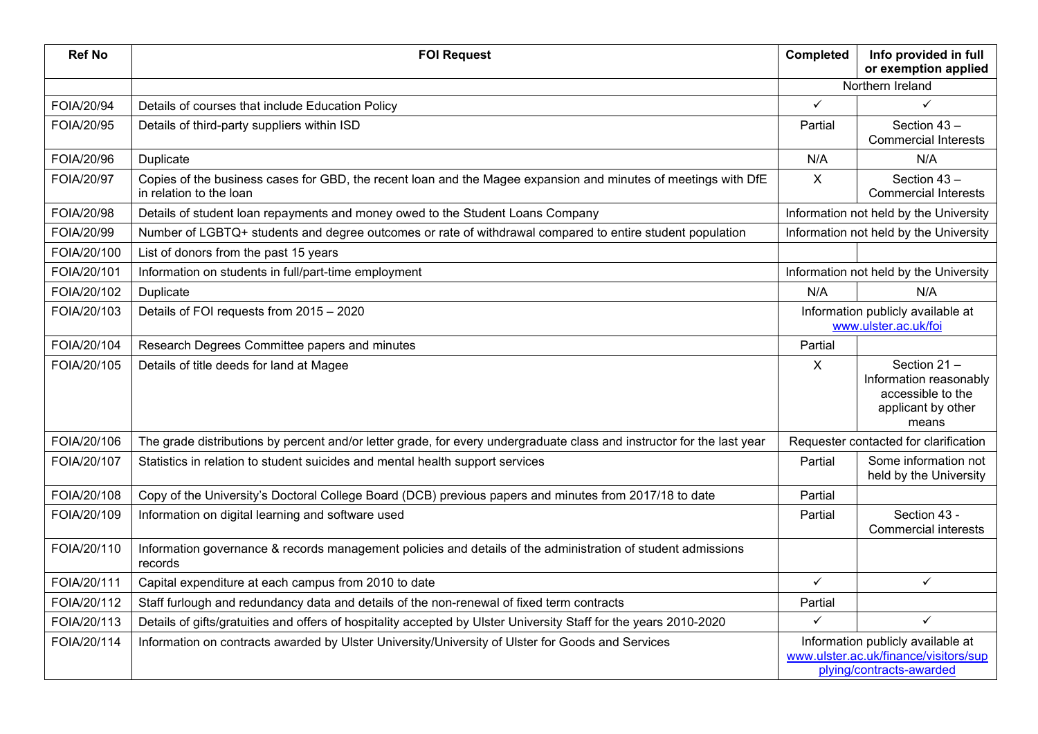| <b>Ref No</b> | <b>FOI Request</b>                                                                                                                        | Completed                                                 | Info provided in full<br>or exemption applied                                                          |
|---------------|-------------------------------------------------------------------------------------------------------------------------------------------|-----------------------------------------------------------|--------------------------------------------------------------------------------------------------------|
|               |                                                                                                                                           | Northern Ireland                                          |                                                                                                        |
| FOIA/20/94    | Details of courses that include Education Policy                                                                                          | $\checkmark$                                              | ✓                                                                                                      |
| FOIA/20/95    | Details of third-party suppliers within ISD                                                                                               | Partial                                                   | Section 43-<br><b>Commercial Interests</b>                                                             |
| FOIA/20/96    | <b>Duplicate</b>                                                                                                                          | N/A                                                       | N/A                                                                                                    |
| FOIA/20/97    | Copies of the business cases for GBD, the recent loan and the Magee expansion and minutes of meetings with DfE<br>in relation to the loan | $\mathsf{X}$                                              | Section 43-<br><b>Commercial Interests</b>                                                             |
| FOIA/20/98    | Details of student loan repayments and money owed to the Student Loans Company                                                            |                                                           | Information not held by the University                                                                 |
| FOIA/20/99    | Number of LGBTQ+ students and degree outcomes or rate of withdrawal compared to entire student population                                 |                                                           | Information not held by the University                                                                 |
| FOIA/20/100   | List of donors from the past 15 years                                                                                                     |                                                           |                                                                                                        |
| FOIA/20/101   | Information on students in full/part-time employment                                                                                      |                                                           | Information not held by the University                                                                 |
| FOIA/20/102   | <b>Duplicate</b>                                                                                                                          | N/A                                                       | N/A                                                                                                    |
| FOIA/20/103   | Details of FOI requests from 2015 - 2020                                                                                                  | Information publicly available at<br>www.ulster.ac.uk/foi |                                                                                                        |
| FOIA/20/104   | Research Degrees Committee papers and minutes                                                                                             | Partial                                                   |                                                                                                        |
| FOIA/20/105   | Details of title deeds for land at Magee                                                                                                  | X                                                         | Section 21-<br>Information reasonably<br>accessible to the<br>applicant by other<br>means              |
| FOIA/20/106   | The grade distributions by percent and/or letter grade, for every undergraduate class and instructor for the last year                    |                                                           | Requester contacted for clarification                                                                  |
| FOIA/20/107   | Statistics in relation to student suicides and mental health support services                                                             | Partial                                                   | Some information not<br>held by the University                                                         |
| FOIA/20/108   | Copy of the University's Doctoral College Board (DCB) previous papers and minutes from 2017/18 to date                                    | Partial                                                   |                                                                                                        |
| FOIA/20/109   | Information on digital learning and software used                                                                                         | Partial                                                   | Section 43 -<br><b>Commercial interests</b>                                                            |
| FOIA/20/110   | Information governance & records management policies and details of the administration of student admissions<br>records                   |                                                           |                                                                                                        |
| FOIA/20/111   | Capital expenditure at each campus from 2010 to date                                                                                      | $\checkmark$                                              | $\checkmark$                                                                                           |
| FOIA/20/112   | Staff furlough and redundancy data and details of the non-renewal of fixed term contracts                                                 | Partial                                                   |                                                                                                        |
| FOIA/20/113   | Details of gifts/gratuities and offers of hospitality accepted by Ulster University Staff for the years 2010-2020                         | $\checkmark$                                              | $\checkmark$                                                                                           |
| FOIA/20/114   | Information on contracts awarded by Ulster University/University of Ulster for Goods and Services                                         |                                                           | Information publicly available at<br>www.ulster.ac.uk/finance/visitors/sup<br>plying/contracts-awarded |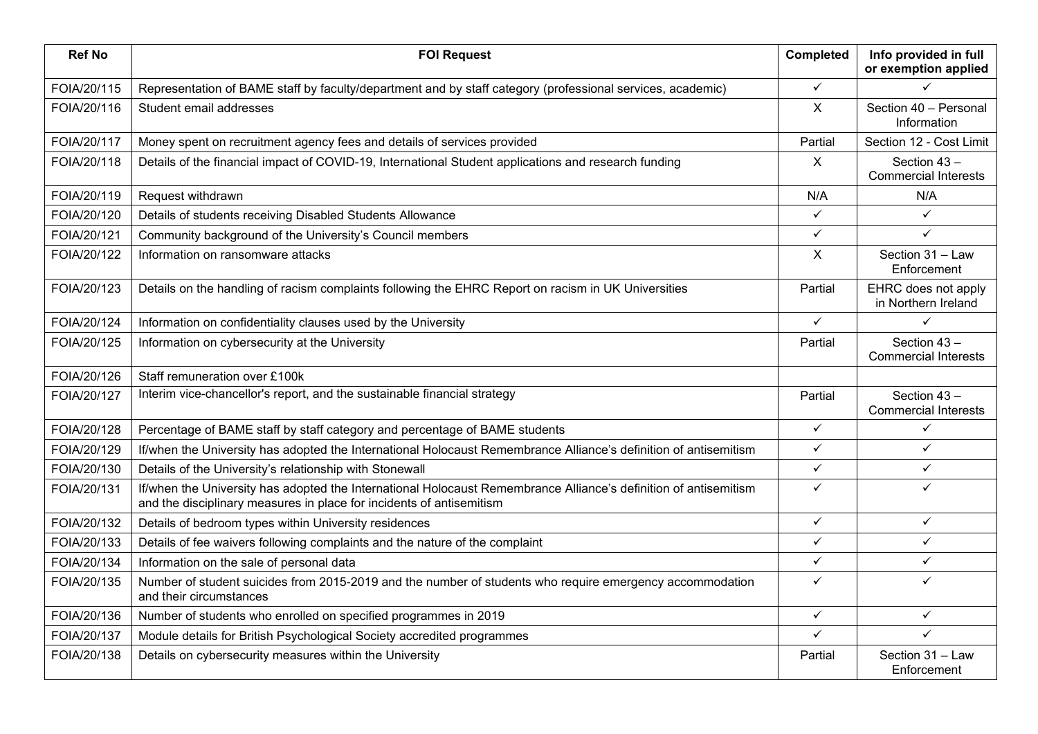| <b>Ref No</b> | <b>FOI Request</b>                                                                                                                                                                       | <b>Completed</b> | Info provided in full<br>or exemption applied |
|---------------|------------------------------------------------------------------------------------------------------------------------------------------------------------------------------------------|------------------|-----------------------------------------------|
| FOIA/20/115   | Representation of BAME staff by faculty/department and by staff category (professional services, academic)                                                                               | $\checkmark$     |                                               |
| FOIA/20/116   | Student email addresses                                                                                                                                                                  | X                | Section 40 - Personal<br>Information          |
| FOIA/20/117   | Money spent on recruitment agency fees and details of services provided                                                                                                                  | Partial          | Section 12 - Cost Limit                       |
| FOIA/20/118   | Details of the financial impact of COVID-19, International Student applications and research funding                                                                                     | X                | Section 43-<br><b>Commercial Interests</b>    |
| FOIA/20/119   | Request withdrawn                                                                                                                                                                        | N/A              | N/A                                           |
| FOIA/20/120   | Details of students receiving Disabled Students Allowance                                                                                                                                | $\checkmark$     | ✓                                             |
| FOIA/20/121   | Community background of the University's Council members                                                                                                                                 | $\checkmark$     | $\checkmark$                                  |
| FOIA/20/122   | Information on ransomware attacks                                                                                                                                                        | X                | Section 31 - Law<br>Enforcement               |
| FOIA/20/123   | Details on the handling of racism complaints following the EHRC Report on racism in UK Universities                                                                                      | Partial          | EHRC does not apply<br>in Northern Ireland    |
| FOIA/20/124   | Information on confidentiality clauses used by the University                                                                                                                            | $\checkmark$     | ✓                                             |
| FOIA/20/125   | Information on cybersecurity at the University                                                                                                                                           | Partial          | Section 43-<br><b>Commercial Interests</b>    |
| FOIA/20/126   | Staff remuneration over £100k                                                                                                                                                            |                  |                                               |
| FOIA/20/127   | Interim vice-chancellor's report, and the sustainable financial strategy                                                                                                                 | Partial          | Section 43-<br><b>Commercial Interests</b>    |
| FOIA/20/128   | Percentage of BAME staff by staff category and percentage of BAME students                                                                                                               | $\checkmark$     | ✓                                             |
| FOIA/20/129   | If/when the University has adopted the International Holocaust Remembrance Alliance's definition of antisemitism                                                                         | $\checkmark$     | $\checkmark$                                  |
| FOIA/20/130   | Details of the University's relationship with Stonewall                                                                                                                                  | $\checkmark$     | ✓                                             |
| FOIA/20/131   | If/when the University has adopted the International Holocaust Remembrance Alliance's definition of antisemitism<br>and the disciplinary measures in place for incidents of antisemitism | $\checkmark$     | ✓                                             |
| FOIA/20/132   | Details of bedroom types within University residences                                                                                                                                    | $\checkmark$     | ✓                                             |
| FOIA/20/133   | Details of fee waivers following complaints and the nature of the complaint                                                                                                              | ✓                | $\checkmark$                                  |
| FOIA/20/134   | Information on the sale of personal data                                                                                                                                                 | $\checkmark$     | $\checkmark$                                  |
| FOIA/20/135   | Number of student suicides from 2015-2019 and the number of students who require emergency accommodation<br>and their circumstances                                                      | $\checkmark$     | ✓                                             |
| FOIA/20/136   | Number of students who enrolled on specified programmes in 2019                                                                                                                          | $\checkmark$     | ✓                                             |
| FOIA/20/137   | Module details for British Psychological Society accredited programmes                                                                                                                   | ✓                | $\checkmark$                                  |
| FOIA/20/138   | Details on cybersecurity measures within the University                                                                                                                                  | Partial          | Section 31 - Law<br>Enforcement               |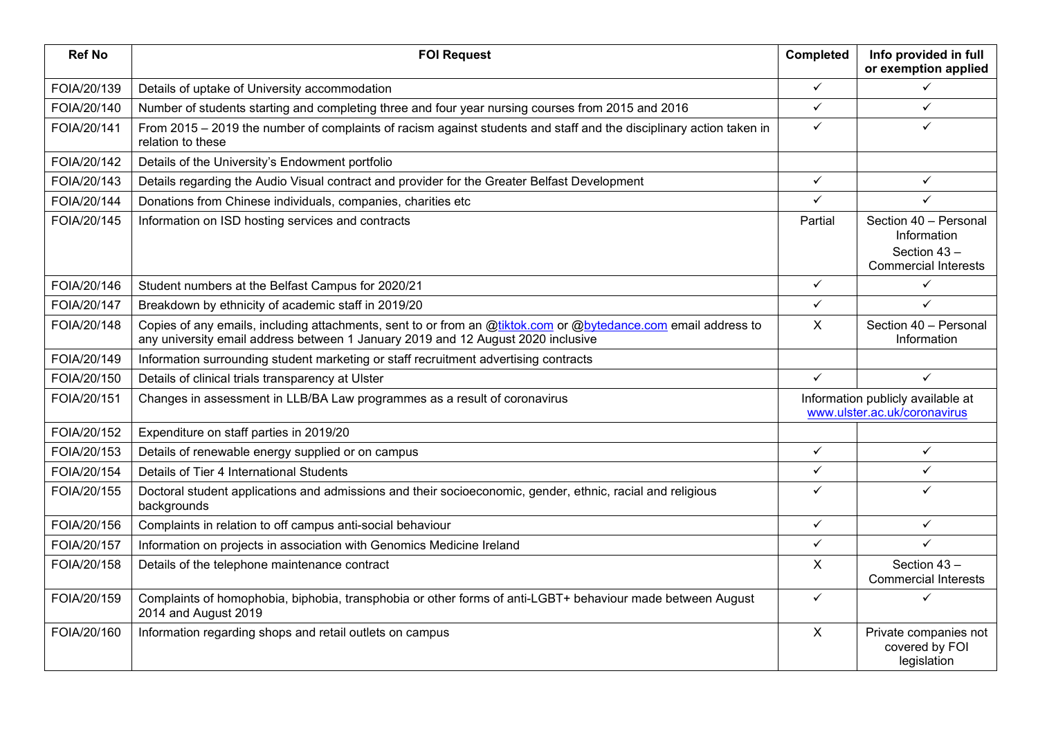| <b>Ref No</b> | <b>FOI Request</b>                                                                                                                                                                                 | Completed    | Info provided in full<br>or exemption applied                                      |
|---------------|----------------------------------------------------------------------------------------------------------------------------------------------------------------------------------------------------|--------------|------------------------------------------------------------------------------------|
| FOIA/20/139   | Details of uptake of University accommodation                                                                                                                                                      | $\checkmark$ | ✓                                                                                  |
| FOIA/20/140   | Number of students starting and completing three and four year nursing courses from 2015 and 2016                                                                                                  | $\checkmark$ | ✓                                                                                  |
| FOIA/20/141   | From 2015 – 2019 the number of complaints of racism against students and staff and the disciplinary action taken in<br>relation to these                                                           | $\checkmark$ | ✓                                                                                  |
| FOIA/20/142   | Details of the University's Endowment portfolio                                                                                                                                                    |              |                                                                                    |
| FOIA/20/143   | Details regarding the Audio Visual contract and provider for the Greater Belfast Development                                                                                                       | $\checkmark$ | $\checkmark$                                                                       |
| FOIA/20/144   | Donations from Chinese individuals, companies, charities etc                                                                                                                                       | $\checkmark$ | ✓                                                                                  |
| FOIA/20/145   | Information on ISD hosting services and contracts                                                                                                                                                  | Partial      | Section 40 - Personal<br>Information<br>Section 43-<br><b>Commercial Interests</b> |
| FOIA/20/146   | Student numbers at the Belfast Campus for 2020/21                                                                                                                                                  | $\checkmark$ | $\checkmark$                                                                       |
| FOIA/20/147   | Breakdown by ethnicity of academic staff in 2019/20                                                                                                                                                | $\checkmark$ | ✓                                                                                  |
| FOIA/20/148   | Copies of any emails, including attachments, sent to or from an @tiktok.com or @bytedance.com email address to<br>any university email address between 1 January 2019 and 12 August 2020 inclusive | X            | Section 40 - Personal<br>Information                                               |
| FOIA/20/149   | Information surrounding student marketing or staff recruitment advertising contracts                                                                                                               |              |                                                                                    |
| FOIA/20/150   | Details of clinical trials transparency at Ulster                                                                                                                                                  | $\checkmark$ | $\checkmark$                                                                       |
| FOIA/20/151   | Changes in assessment in LLB/BA Law programmes as a result of coronavirus                                                                                                                          |              | Information publicly available at<br>www.ulster.ac.uk/coronavirus                  |
| FOIA/20/152   | Expenditure on staff parties in 2019/20                                                                                                                                                            |              |                                                                                    |
| FOIA/20/153   | Details of renewable energy supplied or on campus                                                                                                                                                  | $\checkmark$ | $\checkmark$                                                                       |
| FOIA/20/154   | Details of Tier 4 International Students                                                                                                                                                           | $\checkmark$ | ✓                                                                                  |
| FOIA/20/155   | Doctoral student applications and admissions and their socioeconomic, gender, ethnic, racial and religious<br>backgrounds                                                                          | $\checkmark$ | ✓                                                                                  |
| FOIA/20/156   | Complaints in relation to off campus anti-social behaviour                                                                                                                                         | $\checkmark$ | $\checkmark$                                                                       |
| FOIA/20/157   | Information on projects in association with Genomics Medicine Ireland                                                                                                                              | ✓            | ✓                                                                                  |
| FOIA/20/158   | Details of the telephone maintenance contract                                                                                                                                                      | X            | Section 43-<br><b>Commercial Interests</b>                                         |
| FOIA/20/159   | Complaints of homophobia, biphobia, transphobia or other forms of anti-LGBT+ behaviour made between August<br>2014 and August 2019                                                                 | $\checkmark$ | ✓                                                                                  |
| FOIA/20/160   | Information regarding shops and retail outlets on campus                                                                                                                                           | X            | Private companies not<br>covered by FOI<br>legislation                             |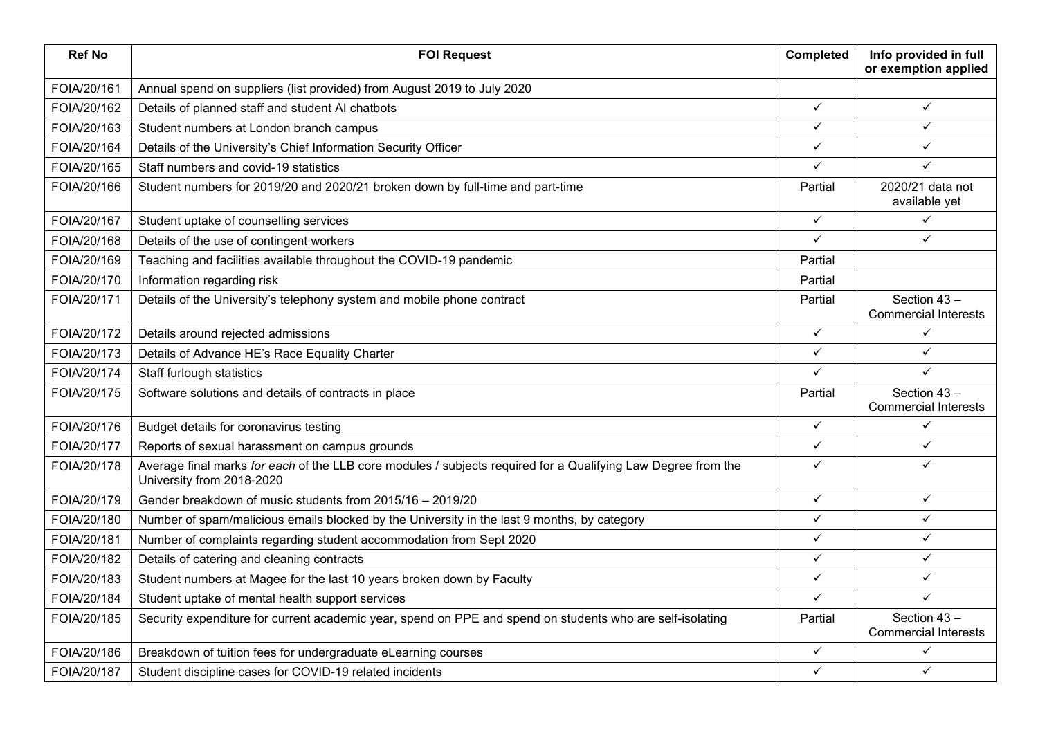| <b>Ref No</b> | <b>FOI Request</b>                                                                                                                         | <b>Completed</b> | Info provided in full<br>or exemption applied |
|---------------|--------------------------------------------------------------------------------------------------------------------------------------------|------------------|-----------------------------------------------|
| FOIA/20/161   | Annual spend on suppliers (list provided) from August 2019 to July 2020                                                                    |                  |                                               |
| FOIA/20/162   | Details of planned staff and student AI chatbots                                                                                           | $\checkmark$     | $\checkmark$                                  |
| FOIA/20/163   | Student numbers at London branch campus                                                                                                    | $\checkmark$     | $\checkmark$                                  |
| FOIA/20/164   | Details of the University's Chief Information Security Officer                                                                             | $\checkmark$     | $\checkmark$                                  |
| FOIA/20/165   | Staff numbers and covid-19 statistics                                                                                                      | ✓                | ✓                                             |
| FOIA/20/166   | Student numbers for 2019/20 and 2020/21 broken down by full-time and part-time                                                             | Partial          | 2020/21 data not<br>available yet             |
| FOIA/20/167   | Student uptake of counselling services                                                                                                     | $\checkmark$     | ✓                                             |
| FOIA/20/168   | Details of the use of contingent workers                                                                                                   | $\checkmark$     | $\checkmark$                                  |
| FOIA/20/169   | Teaching and facilities available throughout the COVID-19 pandemic                                                                         | Partial          |                                               |
| FOIA/20/170   | Information regarding risk                                                                                                                 | Partial          |                                               |
| FOIA/20/171   | Details of the University's telephony system and mobile phone contract                                                                     | Partial          | Section 43-<br><b>Commercial Interests</b>    |
| FOIA/20/172   | Details around rejected admissions                                                                                                         | $\checkmark$     | $\checkmark$                                  |
| FOIA/20/173   | Details of Advance HE's Race Equality Charter                                                                                              | $\checkmark$     | $\checkmark$                                  |
| FOIA/20/174   | Staff furlough statistics                                                                                                                  | $\checkmark$     | ✓                                             |
| FOIA/20/175   | Software solutions and details of contracts in place                                                                                       | Partial          | Section 43-<br><b>Commercial Interests</b>    |
| FOIA/20/176   | Budget details for coronavirus testing                                                                                                     | $\checkmark$     | ✓                                             |
| FOIA/20/177   | Reports of sexual harassment on campus grounds                                                                                             | $\checkmark$     | $\checkmark$                                  |
| FOIA/20/178   | Average final marks for each of the LLB core modules / subjects required for a Qualifying Law Degree from the<br>University from 2018-2020 | $\checkmark$     | ✓                                             |
| FOIA/20/179   | Gender breakdown of music students from 2015/16 - 2019/20                                                                                  | $\checkmark$     | $\checkmark$                                  |
| FOIA/20/180   | Number of spam/malicious emails blocked by the University in the last 9 months, by category                                                | $\checkmark$     | ✓                                             |
| FOIA/20/181   | Number of complaints regarding student accommodation from Sept 2020                                                                        | $\checkmark$     | $\checkmark$                                  |
| FOIA/20/182   | Details of catering and cleaning contracts                                                                                                 | $\checkmark$     | $\checkmark$                                  |
| FOIA/20/183   | Student numbers at Magee for the last 10 years broken down by Faculty                                                                      | $\checkmark$     | ✓                                             |
| FOIA/20/184   | Student uptake of mental health support services                                                                                           | $\checkmark$     | $\checkmark$                                  |
| FOIA/20/185   | Security expenditure for current academic year, spend on PPE and spend on students who are self-isolating                                  | Partial          | Section 43-<br><b>Commercial Interests</b>    |
| FOIA/20/186   | Breakdown of tuition fees for undergraduate eLearning courses                                                                              | $\checkmark$     | ✓                                             |
| FOIA/20/187   | Student discipline cases for COVID-19 related incidents                                                                                    | ✓                | $\checkmark$                                  |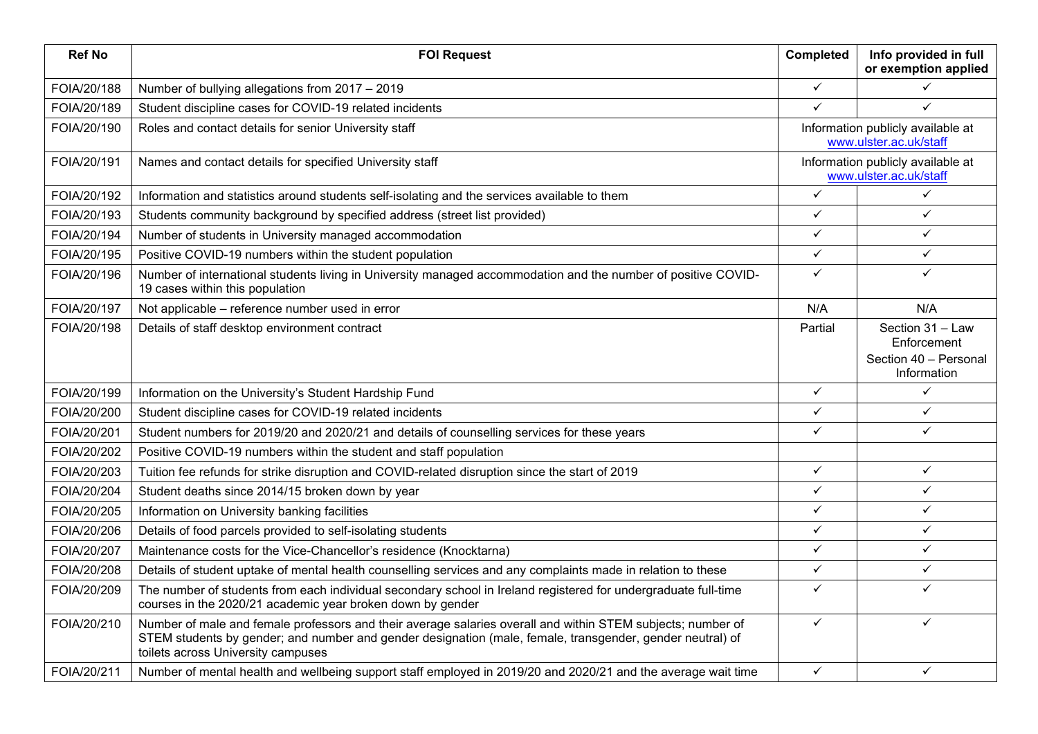| <b>Ref No</b> | <b>FOI Request</b>                                                                                                                                                                                                                                             | <b>Completed</b> | Info provided in full<br>or exemption applied                           |
|---------------|----------------------------------------------------------------------------------------------------------------------------------------------------------------------------------------------------------------------------------------------------------------|------------------|-------------------------------------------------------------------------|
| FOIA/20/188   | Number of bullying allegations from 2017 - 2019                                                                                                                                                                                                                | $\checkmark$     | ✓                                                                       |
| FOIA/20/189   | Student discipline cases for COVID-19 related incidents                                                                                                                                                                                                        | $\checkmark$     | $\checkmark$                                                            |
| FOIA/20/190   | Roles and contact details for senior University staff                                                                                                                                                                                                          |                  | Information publicly available at<br>www.ulster.ac.uk/staff             |
| FOIA/20/191   | Names and contact details for specified University staff                                                                                                                                                                                                       |                  | Information publicly available at<br>www.ulster.ac.uk/staff             |
| FOIA/20/192   | Information and statistics around students self-isolating and the services available to them                                                                                                                                                                   | $\checkmark$     | ✓                                                                       |
| FOIA/20/193   | Students community background by specified address (street list provided)                                                                                                                                                                                      | $\checkmark$     | ✓                                                                       |
| FOIA/20/194   | Number of students in University managed accommodation                                                                                                                                                                                                         | $\checkmark$     | $\checkmark$                                                            |
| FOIA/20/195   | Positive COVID-19 numbers within the student population                                                                                                                                                                                                        | $\checkmark$     | $\checkmark$                                                            |
| FOIA/20/196   | Number of international students living in University managed accommodation and the number of positive COVID-<br>19 cases within this population                                                                                                               | $\checkmark$     | ✓                                                                       |
| FOIA/20/197   | Not applicable - reference number used in error                                                                                                                                                                                                                | N/A              | N/A                                                                     |
| FOIA/20/198   | Details of staff desktop environment contract                                                                                                                                                                                                                  | Partial          | Section 31 - Law<br>Enforcement<br>Section 40 - Personal<br>Information |
| FOIA/20/199   | Information on the University's Student Hardship Fund                                                                                                                                                                                                          | $\checkmark$     | ✓                                                                       |
| FOIA/20/200   | Student discipline cases for COVID-19 related incidents                                                                                                                                                                                                        | ✓                | ✓                                                                       |
| FOIA/20/201   | Student numbers for 2019/20 and 2020/21 and details of counselling services for these years                                                                                                                                                                    | $\checkmark$     | $\checkmark$                                                            |
| FOIA/20/202   | Positive COVID-19 numbers within the student and staff population                                                                                                                                                                                              |                  |                                                                         |
| FOIA/20/203   | Tuition fee refunds for strike disruption and COVID-related disruption since the start of 2019                                                                                                                                                                 | $\checkmark$     | $\checkmark$                                                            |
| FOIA/20/204   | Student deaths since 2014/15 broken down by year                                                                                                                                                                                                               | $\checkmark$     | $\checkmark$                                                            |
| FOIA/20/205   | Information on University banking facilities                                                                                                                                                                                                                   | $\checkmark$     | $\checkmark$                                                            |
| FOIA/20/206   | Details of food parcels provided to self-isolating students                                                                                                                                                                                                    | $\checkmark$     | $\checkmark$                                                            |
| FOIA/20/207   | Maintenance costs for the Vice-Chancellor's residence (Knocktarna)                                                                                                                                                                                             | $\checkmark$     | $\checkmark$                                                            |
| FOIA/20/208   | Details of student uptake of mental health counselling services and any complaints made in relation to these                                                                                                                                                   | $\checkmark$     | $\checkmark$                                                            |
| FOIA/20/209   | The number of students from each individual secondary school in Ireland registered for undergraduate full-time<br>courses in the 2020/21 academic year broken down by gender                                                                                   | $\checkmark$     | ✓                                                                       |
| FOIA/20/210   | Number of male and female professors and their average salaries overall and within STEM subjects; number of<br>STEM students by gender; and number and gender designation (male, female, transgender, gender neutral) of<br>toilets across University campuses | $\checkmark$     | ✓                                                                       |
| FOIA/20/211   | Number of mental health and wellbeing support staff employed in 2019/20 and 2020/21 and the average wait time                                                                                                                                                  | $\checkmark$     | ✓                                                                       |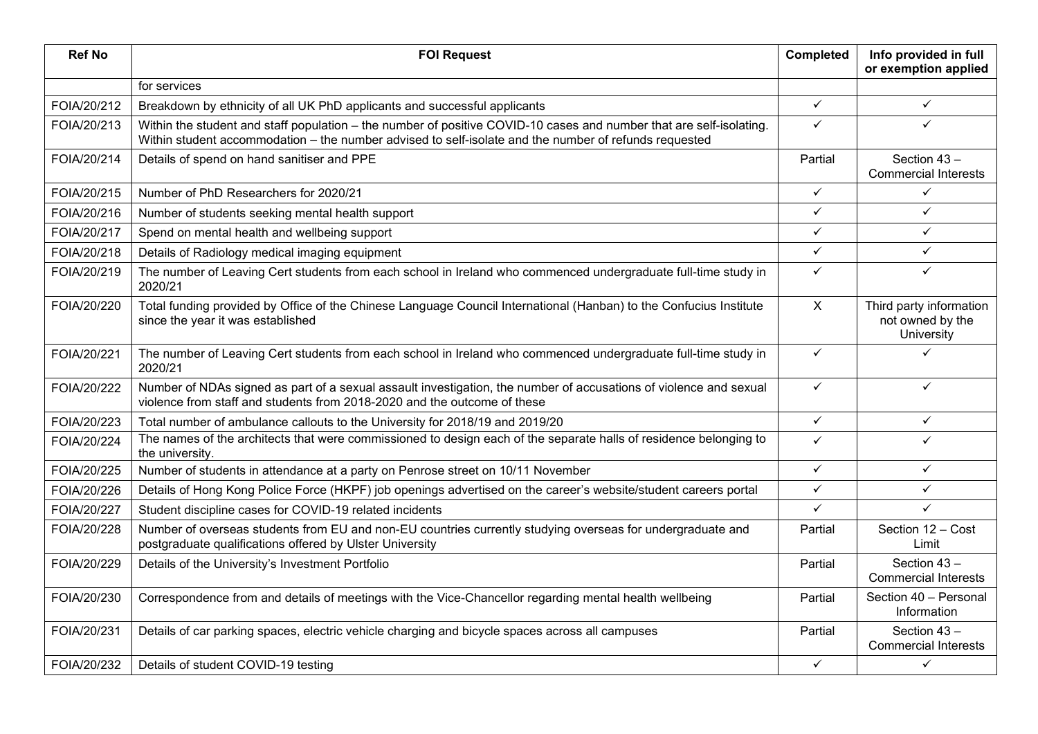| <b>Ref No</b> | <b>FOI Request</b>                                                                                                                                                                                                           | Completed    | Info provided in full<br>or exemption applied             |
|---------------|------------------------------------------------------------------------------------------------------------------------------------------------------------------------------------------------------------------------------|--------------|-----------------------------------------------------------|
|               | for services                                                                                                                                                                                                                 |              |                                                           |
| FOIA/20/212   | Breakdown by ethnicity of all UK PhD applicants and successful applicants                                                                                                                                                    | $\checkmark$ | $\checkmark$                                              |
| FOIA/20/213   | Within the student and staff population – the number of positive COVID-10 cases and number that are self-isolating.<br>Within student accommodation - the number advised to self-isolate and the number of refunds requested | $\checkmark$ | ✓                                                         |
| FOIA/20/214   | Details of spend on hand sanitiser and PPE                                                                                                                                                                                   | Partial      | Section 43-<br><b>Commercial Interests</b>                |
| FOIA/20/215   | Number of PhD Researchers for 2020/21                                                                                                                                                                                        | $\checkmark$ | ✓                                                         |
| FOIA/20/216   | Number of students seeking mental health support                                                                                                                                                                             | $\checkmark$ | $\checkmark$                                              |
| FOIA/20/217   | Spend on mental health and wellbeing support                                                                                                                                                                                 | $\checkmark$ | $\checkmark$                                              |
| FOIA/20/218   | Details of Radiology medical imaging equipment                                                                                                                                                                               | $\checkmark$ | ✓                                                         |
| FOIA/20/219   | The number of Leaving Cert students from each school in Ireland who commenced undergraduate full-time study in<br>2020/21                                                                                                    | $\checkmark$ | ✓                                                         |
| FOIA/20/220   | Total funding provided by Office of the Chinese Language Council International (Hanban) to the Confucius Institute<br>since the year it was established                                                                      | $\mathsf{X}$ | Third party information<br>not owned by the<br>University |
| FOIA/20/221   | The number of Leaving Cert students from each school in Ireland who commenced undergraduate full-time study in<br>2020/21                                                                                                    | $\checkmark$ | ✓                                                         |
| FOIA/20/222   | Number of NDAs signed as part of a sexual assault investigation, the number of accusations of violence and sexual<br>violence from staff and students from 2018-2020 and the outcome of these                                | $\checkmark$ | ✓                                                         |
| FOIA/20/223   | Total number of ambulance callouts to the University for 2018/19 and 2019/20                                                                                                                                                 | $\checkmark$ | $\checkmark$                                              |
| FOIA/20/224   | The names of the architects that were commissioned to design each of the separate halls of residence belonging to<br>the university.                                                                                         | $\checkmark$ | ✓                                                         |
| FOIA/20/225   | Number of students in attendance at a party on Penrose street on 10/11 November                                                                                                                                              | $\checkmark$ | ✓                                                         |
| FOIA/20/226   | Details of Hong Kong Police Force (HKPF) job openings advertised on the career's website/student careers portal                                                                                                              | $\checkmark$ | $\checkmark$                                              |
| FOIA/20/227   | Student discipline cases for COVID-19 related incidents                                                                                                                                                                      | $\checkmark$ | ✓                                                         |
| FOIA/20/228   | Number of overseas students from EU and non-EU countries currently studying overseas for undergraduate and<br>postgraduate qualifications offered by Ulster University                                                       | Partial      | Section 12 - Cost<br>Limit                                |
| FOIA/20/229   | Details of the University's Investment Portfolio                                                                                                                                                                             | Partial      | Section 43-<br><b>Commercial Interests</b>                |
| FOIA/20/230   | Correspondence from and details of meetings with the Vice-Chancellor regarding mental health wellbeing                                                                                                                       | Partial      | Section 40 - Personal<br>Information                      |
| FOIA/20/231   | Details of car parking spaces, electric vehicle charging and bicycle spaces across all campuses                                                                                                                              | Partial      | Section 43-<br><b>Commercial Interests</b>                |
| FOIA/20/232   | Details of student COVID-19 testing                                                                                                                                                                                          | $\checkmark$ | $\checkmark$                                              |